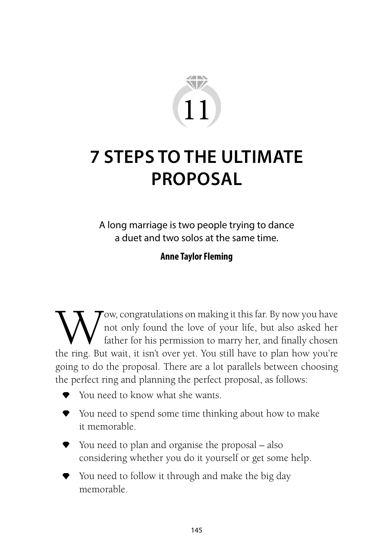

# **7 STEPS TO THE ULTIMATE PROPOSAL**

A long marriage is two people trying to dance a duet and two solos at the same time.

#### **Anne Taylor Fleming**

Wow, congratulations on making it this far. By now you have<br>not only found the love of your life, but also asked her<br>the ring. But wait it isn't over yet. You still have to plan how you're not only found the love of your life, but also asked her father for his permission to marry her, and finally chosen the ring. But wait, it isn't over yet. You still have to plan how you're going to do the proposal. There are a lot parallels between choosing the perfect ring and planning the perfect proposal, as follows:

- You need to know what she wants.
- ◆ You need to spend some time thinking about how to make it memorable.
- You need to plan and organise the proposal also considering whether you do it yourself or get some help.
- ◆ You need to follow it through and make the big day memorable.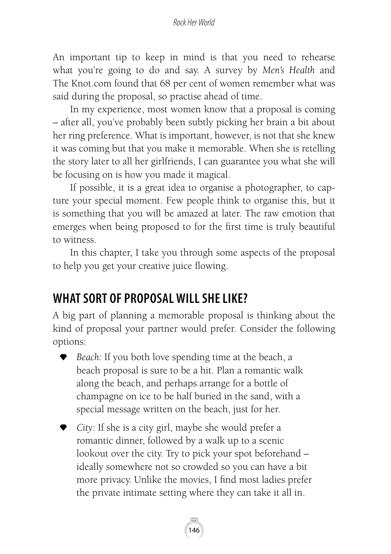#### *Rock Her World*

An important tip to keep in mind is that you need to rehearse what you're going to do and say. A survey by *Men's Health* and The Knot.com found that 68 per cent of women remember what was said during the proposal, so practise ahead of time.

In my experience, most women know that a proposal is coming – after all, you've probably been subtly picking her brain a bit about her ring preference. What is important, however, is not that she knew it was coming but that you make it memorable. When she is retelling the story later to all her girlfriends, I can guarantee you what she will be focusing on is how you made it magical.

If possible, it is a great idea to organise a photographer, to capture your special moment. Few people think to organise this, but it is something that you will be amazed at later. The raw emotion that emerges when being proposed to for the first time is truly beautiful to witness.

In this chapter, I take you through some aspects of the proposal to help you get your creative juice flowing.

# **WHAT SORT OF PROPOSAL WILL SHE LIKE?**

A big part of planning a memorable proposal is thinking about the kind of proposal your partner would prefer. Consider the following options:

- *Beach:* If you both love spending time at the beach, a beach proposal is sure to be a hit. Plan a romantic walk along the beach, and perhaps arrange for a bottle of champagne on ice to be half buried in the sand, with a special message written on the beach, just for her.
- *City:* If she is a city girl, maybe she would prefer a romantic dinner, followed by a walk up to a scenic lookout over the city. Try to pick your spot beforehand – ideally somewhere not so crowded so you can have a bit more privacy. Unlike the movies, I find most ladies prefer the private intimate setting where they can take it all in.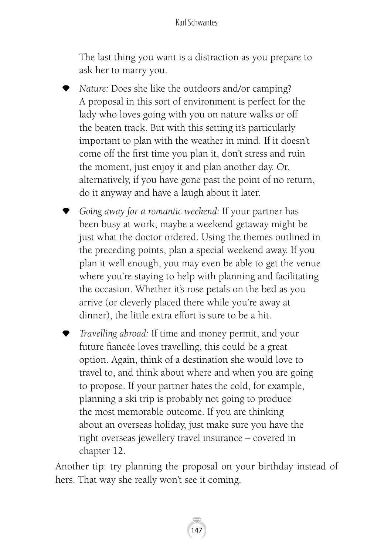#### Karl Schwantes

The last thing you want is a distraction as you prepare to ask her to marry you.

- *Nature:* Does she like the outdoors and/or camping? A proposal in this sort of environment is perfect for the lady who loves going with you on nature walks or off the beaten track. But with this setting it's particularly important to plan with the weather in mind. If it doesn't come off the first time you plan it, don't stress and ruin the moment, just enjoy it and plan another day. Or, alternatively, if you have gone past the point of no return, do it anyway and have a laugh about it later.
- *Going away for a romantic weekend:* If your partner has been busy at work, maybe a weekend getaway might be just what the doctor ordered. Using the themes outlined in the preceding points, plan a special weekend away. If you plan it well enough, you may even be able to get the venue where you're staying to help with planning and facilitating the occasion. Whether it's rose petals on the bed as you arrive (or cleverly placed there while you're away at dinner), the little extra effort is sure to be a hit.
- *Travelling abroad:* If time and money permit, and your future fiancée loves travelling, this could be a great option. Again, think of a destination she would love to travel to, and think about where and when you are going to propose. If your partner hates the cold, for example, planning a ski trip is probably not going to produce the most memorable outcome. If you are thinking about an overseas holiday, just make sure you have the right overseas jewellery travel insurance – covered in chapter 12.

Another tip: try planning the proposal on your birthday instead of hers. That way she really won't see it coming.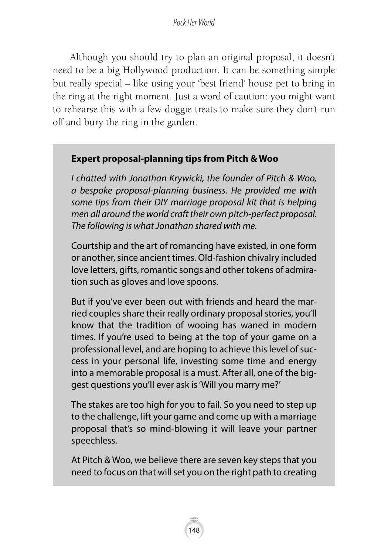Although you should try to plan an original proposal, it doesn't need to be a big Hollywood production. It can be something simple but really special – like using your 'best friend' house pet to bring in the ring at the right moment. Just a word of caution: you might want to rehearse this with a few doggie treats to make sure they don't run off and bury the ring in the garden.

## **Expert proposal-planning tips from Pitch & Woo**

*I chatted with Jonathan Krywicki, the founder of Pitch & Woo, a bespoke proposal-planning business. He provided me with some tips from their DIY marriage proposal kit that is helping men all around the world craft their own pitch-perfect proposal. The following is what Jonathan shared with me.*

Courtship and the art of romancing have existed, in one form or another, since ancient times. Old-fashion chivalry included love letters, gifts, romantic songs and other tokens of admiration such as gloves and love spoons.

But if you've ever been out with friends and heard the married couples share their really ordinary proposal stories, you'll know that the tradition of wooing has waned in modern times. If you're used to being at the top of your game on a professional level, and are hoping to achieve this level of success in your personal life, investing some time and energy into a memorable proposal is a must. After all, one of the biggest questions you'll ever ask is 'Will you marry me?'

The stakes are too high for you to fail. So you need to step up to the challenge, lift your game and come up with a marriage proposal that's so mind-blowing it will leave your partner speechless.

At Pitch & Woo, we believe there are seven key steps that you need to focus on that will set you on the right path to creating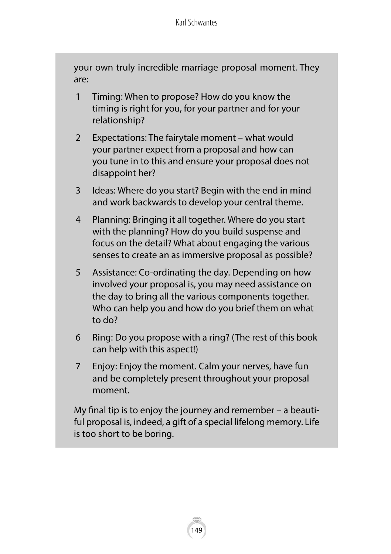your own truly incredible marriage proposal moment. They are:

- 1 Timing: When to propose? How do you know the timing is right for you, for your partner and for your relationship?
- 2 Expectations: The fairytale moment what would your partner expect from a proposal and how can you tune in to this and ensure your proposal does not disappoint her?
- 3 Ideas: Where do you start? Begin with the end in mind and work backwards to develop your central theme.
- 4 Planning: Bringing it all together. Where do you start with the planning? How do you build suspense and focus on the detail? What about engaging the various senses to create an as immersive proposal as possible?
- 5 Assistance: Co-ordinating the day. Depending on how involved your proposal is, you may need assistance on the day to bring all the various components together. Who can help you and how do you brief them on what to do?
- 6 Ring: Do you propose with a ring? (The rest of this book can help with this aspect!)
- 7 Enjoy: Enjoy the moment. Calm your nerves, have fun and be completely present throughout your proposal moment.

My final tip is to enjoy the journey and remember – a beautiful proposal is, indeed, a gift of a special lifelong memory. Life is too short to be boring.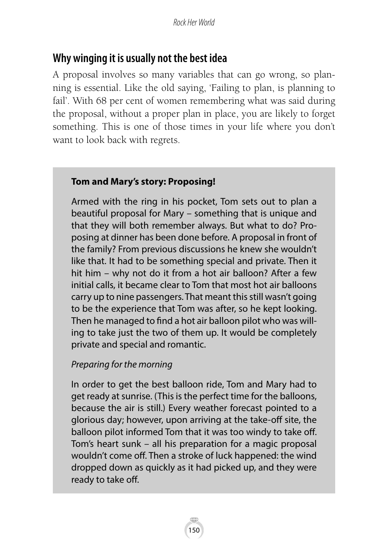# **Why winging it is usually not the best idea**

A proposal involves so many variables that can go wrong, so planning is essential. Like the old saying, 'Failing to plan, is planning to fail'. With 68 per cent of women remembering what was said during the proposal, without a proper plan in place, you are likely to forget something. This is one of those times in your life where you don't want to look back with regrets.

#### **Tom and Mary's story: Proposing!**

Armed with the ring in his pocket, Tom sets out to plan a beautiful proposal for Mary – something that is unique and that they will both remember always. But what to do? Proposing at dinner has been done before. A proposal in front of the family? From previous discussions he knew she wouldn't like that. It had to be something special and private. Then it hit him – why not do it from a hot air balloon? After a few initial calls, it became clear to Tom that most hot air balloons carry up to nine passengers. That meant this still wasn't going to be the experience that Tom was after, so he kept looking. Then he managed to find a hot air balloon pilot who was willing to take just the two of them up. It would be completely private and special and romantic.

## *Preparing for the morning*

In order to get the best balloon ride, Tom and Mary had to get ready at sunrise. (This is the perfect time for the balloons, because the air is still.) Every weather forecast pointed to a glorious day; however, upon arriving at the take-off site, the balloon pilot informed Tom that it was too windy to take off. Tom's heart sunk – all his preparation for a magic proposal wouldn't come off. Then a stroke of luck happened: the wind dropped down as quickly as it had picked up, and they were ready to take off.